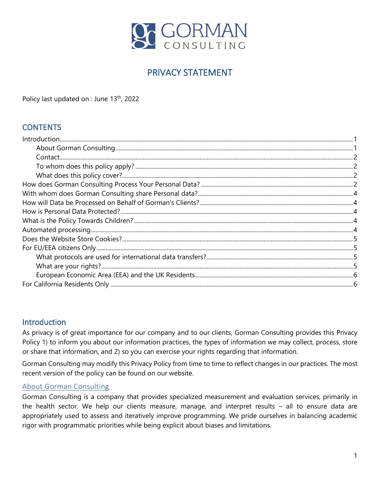

# PRIVACY STATEMENT

Policy last updated on : June 13<sup>th</sup>, 2022

### **CONTENTS**

#### <span id="page-0-0"></span>Introduction

As privacy is of great importance for our company and to our clients, Gorman Consulting provides this Privacy Policy 1) to inform you about our information practices, the types of information we may collect, process, store or share that information, and 2) so you can exercise your rights regarding that information.

Gorman Consulting may modify this Privacy Policy from time to time to reflect changes in our practices. The most recent version of the policy can be found on our website.

#### <span id="page-0-1"></span>About Gorman Consulting

Gorman Consulting is a company that provides specialized measurement and evaluation services, primarily in the health sector. We help our clients measure, manage, and interpret results – all to ensure data are appropriately used to assess and iteratively improve programming. We pride ourselves in balancing academic rigor with programmatic priorities while being explicit about biases and limitations.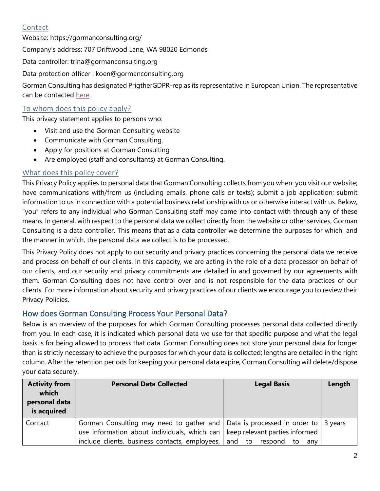### <span id="page-1-0"></span>Contact

Website:<https://gormanconsulting.org/> Company's address: 707 Driftwood Lane, WA 98020 Edmonds Data controller: trina@gormanconsulting.org Data protection officer : [koen@gormanconsulting.org](mailto:koen@gormanconsulting.org) Gorman Consulting has designated PrigtherGDPR-rep as its representative in European Union. The representative can be contacted [here.](https://prighter.com/q/19880564857)

#### <span id="page-1-1"></span>To whom does this policy apply?

This privacy statement applies to persons who:

- Visit and use the Gorman Consulting website
- Communicate with Gorman Consulting.
- Apply for positions at Gorman Consulting
- Are employed (staff and consultants) at Gorman Consulting.

#### <span id="page-1-2"></span>What does this policy cover?

This Privacy Policy applies to personal data that Gorman Consulting collects from you when: you visit our website; have communications with/from us (including emails, phone calls or texts); submit a job application; submit information to us in connection with a potential business relationship with us or otherwise interact with us. Below, "you" refers to any individual who Gorman Consulting staff may come into contact with through any of these means. In general, with respect to the personal data we collect directly from the website or other services, Gorman Consulting is a data controller. This means that as a data controller we determine the purposes for which, and the manner in which, the personal data we collect is to be processed.

This Privacy Policy does not apply to our security and privacy practices concerning the personal data we receive and process on behalf of our clients. In this capacity, we are acting in the role of a data processor on behalf of our clients, and our security and privacy commitments are detailed in and governed by our agreements with them. Gorman Consulting does not have control over and is not responsible for the data practices of our clients. For more information about security and privacy practices of our clients we encourage you to review their Privacy Policies.

#### <span id="page-1-3"></span>How does Gorman Consulting Process Your Personal Data?

Below is an overview of the purposes for which Gorman Consulting processes personal data collected directly from you. In each case, it is indicated which personal data we use for that specific purpose and what the legal basis is for being allowed to process that data. Gorman Consulting does not store your personal data for longer than is strictly necessary to achieve the purposes for which your data is collected; lengths are detailed in the right column. After the retention periods for keeping your personal data expire, Gorman Consulting will delete/dispose your data securely.

| <b>Activity from</b><br>which<br>personal data<br>is acquired | <b>Personal Data Collected</b>                                                                                                                                                                                                          | <b>Legal Basis</b>             | Length |
|---------------------------------------------------------------|-----------------------------------------------------------------------------------------------------------------------------------------------------------------------------------------------------------------------------------------|--------------------------------|--------|
| Contact                                                       | Gorman Consulting may need to gather and $\vert$ Data is processed in order to $\vert$ 3 years<br>use information about individuals, which can $\vert$ keep relevant parties informed<br>include clients, business contacts, employees, | and to<br>respond<br>to<br>anv |        |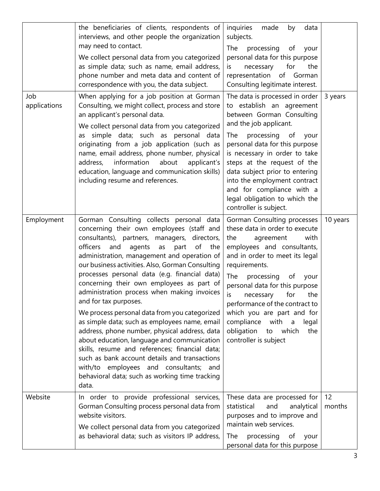| Job<br>applications | the beneficiaries of clients, respondents of<br>interviews, and other people the organization<br>may need to contact.<br>We collect personal data from you categorized<br>as simple data; such as name, email address,<br>phone number and meta data and content of<br>correspondence with you, the data subject.<br>When applying for a job position at Gorman<br>Consulting, we might collect, process and store<br>an applicant's personal data.<br>We collect personal data from you categorized<br>as simple data; such as personal data<br>originating from a job application (such as<br>name, email address, phone number, physical<br>information<br>about<br>applicant's<br>address,<br>education, language and communication skills)<br>including resume and references.                                                                                           | inquiries<br>made<br>data<br>by<br>subjects.<br>The<br>processing<br>of<br>your<br>personal data for this purpose<br>for<br>necessary<br>the<br>is<br>representation of Gorman<br>Consulting legitimate interest.<br>The data is processed in order<br>to establish an agreement<br>between Gorman Consulting<br>and the job applicant.<br>The<br>processing of<br>your<br>personal data for this purpose<br>is necessary in order to take<br>steps at the request of the<br>data subject prior to entering<br>into the employment contract<br>and for compliance with a<br>legal obligation to which the<br>controller is subject. | 3 years      |
|---------------------|-------------------------------------------------------------------------------------------------------------------------------------------------------------------------------------------------------------------------------------------------------------------------------------------------------------------------------------------------------------------------------------------------------------------------------------------------------------------------------------------------------------------------------------------------------------------------------------------------------------------------------------------------------------------------------------------------------------------------------------------------------------------------------------------------------------------------------------------------------------------------------|-------------------------------------------------------------------------------------------------------------------------------------------------------------------------------------------------------------------------------------------------------------------------------------------------------------------------------------------------------------------------------------------------------------------------------------------------------------------------------------------------------------------------------------------------------------------------------------------------------------------------------------|--------------|
| Employment          | Gorman Consulting collects personal data<br>concerning their own employees (staff and<br>consultants), partners, managers, directors,<br>officers<br>of the<br>and<br>agents<br>as<br>part<br>administration, management and operation of<br>our business activities. Also, Gorman Consulting<br>processes personal data (e.g. financial data)<br>concerning their own employees as part of<br>administration process when making invoices<br>and for tax purposes.<br>We process personal data from you categorized<br>as simple data; such as employees name, email<br>address, phone number, physical address, data<br>about education, language and communication<br>skills, resume and references; financial data;<br>such as bank account details and transactions<br>with/to employees and consultants; and<br>behavioral data; such as working time tracking<br>data. | Gorman Consulting processes<br>these data in order to execute<br>with<br>the<br>agreement<br>employees and consultants,<br>and in order to meet its legal<br>requirements.<br>The<br>processing<br>of<br>your<br>personal data for this purpose<br>is<br>the<br>for<br>necessary<br>performance of the contract to<br>which you are part and for<br>compliance<br>with a<br>legal<br>obligation<br>which<br>to<br>the<br>controller is subject                                                                                                                                                                                      | 10 years     |
| Website             | In order to provide professional services,<br>Gorman Consulting process personal data from<br>website visitors.<br>We collect personal data from you categorized<br>as behavioral data; such as visitors IP address,                                                                                                                                                                                                                                                                                                                                                                                                                                                                                                                                                                                                                                                          | These data are processed for<br>statistical<br>and<br>analytical<br>purposes and to improve and<br>maintain web services.<br>The<br>processing<br>of<br>your<br>personal data for this purpose                                                                                                                                                                                                                                                                                                                                                                                                                                      | 12<br>months |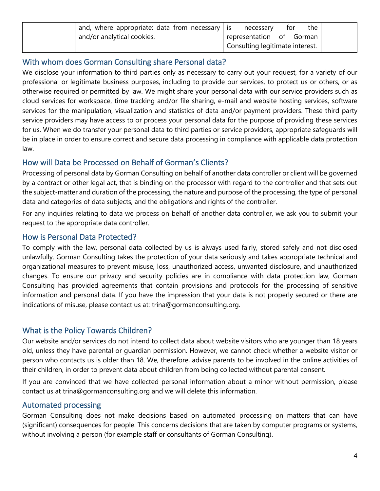| $\frac{1}{2}$ and, where appropriate: data from necessary   is secessary | the<br>for                      |  |
|--------------------------------------------------------------------------|---------------------------------|--|
| and/or analytical cookies.                                               | representation of Gorman        |  |
|                                                                          | Consulting legitimate interest. |  |

#### <span id="page-3-0"></span>With whom does Gorman Consulting share Personal data?

We disclose your information to third parties only as necessary to carry out your request, for a variety of our professional or legitimate business purposes, including to provide our services, to protect us or others, or as otherwise required or permitted by law. We might share your personal data with our service providers such as cloud services for workspace, time tracking and/or file sharing, e-mail and website hosting services, software services for the manipulation, visualization and statistics of data and/or payment providers. These third party service providers may have access to or process your personal data for the purpose of providing these services for us. When we do transfer your personal data to third parties or service providers, appropriate safeguards will be in place in order to ensure correct and secure data processing in compliance with applicable data protection law.

#### <span id="page-3-1"></span>How will Data be Processed on Behalf of Gorman's Clients?

Processing of personal data by Gorman Consulting on behalf of another data controller or client will be governed by a contract or other legal act, that is binding on the processor with regard to the controller and that sets out the subject-matter and duration of the processing, the nature and purpose of the processing, the type of personal data and categories of data subjects, and the obligations and rights of the controller.

For any inquiries relating to data we process [on behalf of another data controller,](https://gormanconsulting.org/projects/) we ask you to submit your request to the appropriate data controller.

#### <span id="page-3-2"></span>How is Personal Data Protected?

To comply with the law, personal data collected by us is always used fairly, stored safely and not disclosed unlawfully. Gorman Consulting takes the protection of your data seriously and takes appropriate technical and organizational measures to prevent misuse, loss, unauthorized access, unwanted disclosure, and unauthorized changes. To ensure our privacy and security policies are in compliance with data protection law, Gorman Consulting has provided agreements that contain provisions and protocols for the processing of sensitive information and personal data. If you have the impression that your data is not properly secured or there are indications of misuse, please contact us at: [trina@gormanconsulting.org.](mailto:trina@gormanconsulting.org)

# <span id="page-3-3"></span>What is the Policy Towards Children?

Our website and/or services do not intend to collect data about website visitors who are younger than 18 years old, unless they have parental or guardian permission. However, we cannot check whether a website visitor or person who contacts us is older than 18. We, therefore, advise parents to be involved in the online activities of their children, in order to prevent data about children from being collected without parental consent.

If you are convinced that we have collected personal information about a minor without permission, please contact us at [trina@gormanconsulting.org](mailto:trina@gormanconsulting.org) and we will delete this information.

# <span id="page-3-4"></span>Automated processing

Gorman Consulting does not make decisions based on automated processing on matters that can have (significant) consequences for people. This concerns decisions that are taken by computer programs or systems, without involving a person (for example staff or consultants of Gorman Consulting).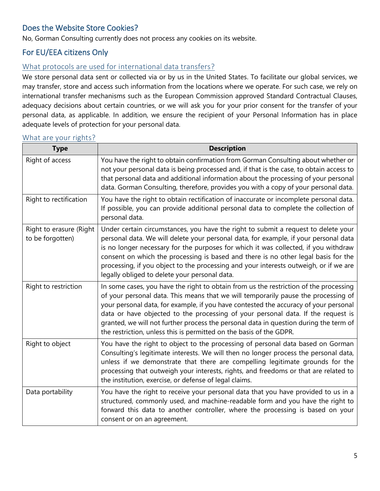# <span id="page-4-0"></span>Does the Website Store Cookies?

No, Gorman Consulting currently does not process any cookies on its website.

## <span id="page-4-1"></span>For EU/EEA citizens Only

#### <span id="page-4-2"></span>What protocols are used for international data transfers?

We store personal data sent or collected via or by us in the United States. To facilitate our global services, we may transfer, store and access such information from the locations where we operate. For such case, we rely on international transfer mechanisms such as the European Commission approved Standard Contractual Clauses, adequacy decisions about certain countries, or we will ask you for your prior consent for the transfer of your personal data, as applicable. In addition, we ensure the recipient of your Personal Information has in place adequate levels of protection for your personal data.

#### <span id="page-4-3"></span>What are your rights?

| <b>Type</b>                                 | <b>Description</b>                                                                                                                                                                                                                                                                                                                                                                                                                                                                                                      |
|---------------------------------------------|-------------------------------------------------------------------------------------------------------------------------------------------------------------------------------------------------------------------------------------------------------------------------------------------------------------------------------------------------------------------------------------------------------------------------------------------------------------------------------------------------------------------------|
| Right of access                             | You have the right to obtain confirmation from Gorman Consulting about whether or<br>not your personal data is being processed and, if that is the case, to obtain access to<br>that personal data and additional information about the processing of your personal<br>data. Gorman Consulting, therefore, provides you with a copy of your personal data.                                                                                                                                                              |
| Right to rectification                      | You have the right to obtain rectification of inaccurate or incomplete personal data.<br>If possible, you can provide additional personal data to complete the collection of<br>personal data.                                                                                                                                                                                                                                                                                                                          |
| Right to erasure (Right<br>to be forgotten) | Under certain circumstances, you have the right to submit a request to delete your<br>personal data. We will delete your personal data, for example, if your personal data<br>is no longer necessary for the purposes for which it was collected, if you withdraw<br>consent on which the processing is based and there is no other legal basis for the<br>processing, if you object to the processing and your interests outweigh, or if we are<br>legally obliged to delete your personal data.                       |
| Right to restriction                        | In some cases, you have the right to obtain from us the restriction of the processing<br>of your personal data. This means that we will temporarily pause the processing of<br>your personal data, for example, if you have contested the accuracy of your personal<br>data or have objected to the processing of your personal data. If the request is<br>granted, we will not further process the personal data in question during the term of<br>the restriction, unless this is permitted on the basis of the GDPR. |
| Right to object                             | You have the right to object to the processing of personal data based on Gorman<br>Consulting's legitimate interests. We will then no longer process the personal data,<br>unless if we demonstrate that there are compelling legitimate grounds for the<br>processing that outweigh your interests, rights, and freedoms or that are related to<br>the institution, exercise, or defense of legal claims.                                                                                                              |
| Data portability                            | You have the right to receive your personal data that you have provided to us in a<br>structured, commonly used, and machine-readable form and you have the right to<br>forward this data to another controller, where the processing is based on your<br>consent or on an agreement.                                                                                                                                                                                                                                   |